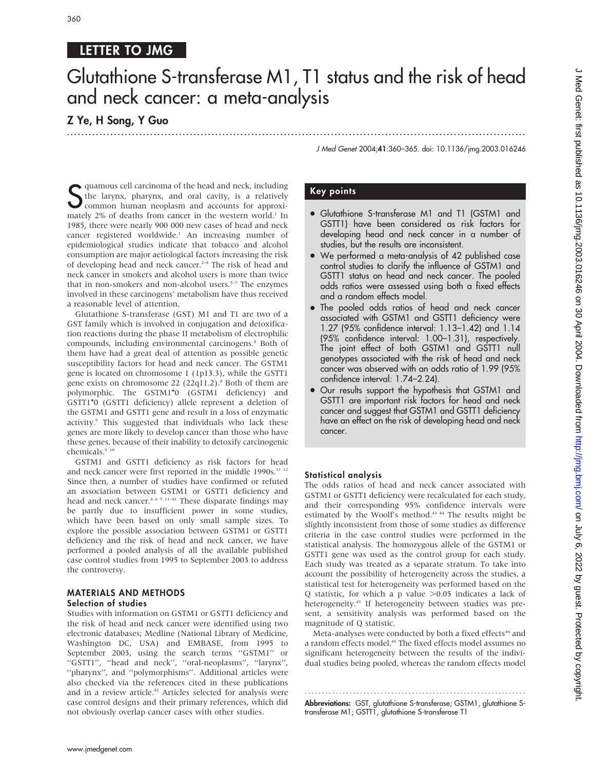# LETTER TO JMG

# Glutathione S-transferase M1, T1 status and the risk of head and neck cancer: a meta-analysis

.............................................................................................................................. .

# Z Ye, H Song, Y Guo

J Med Genet 2004;41:360–365. doi: 10.1136/jmg.2003.016246

S quamous cell carcinoma of the head and neck, including<br>the larynx, pharynx, and oral cavity, is a relatively<br>matchy 3% common human neoplasm and accounts for approxiquamous cell carcinoma of the head and neck, including the larynx, pharynx, and oral cavity, is a relatively mately  $2\%$  of deaths from cancer in the western world.<sup>1</sup> In 1985, there were nearly 900 000 new cases of head and neck cancer registered worldwide.<sup>1</sup> An increasing number of epidemiological studies indicate that tobacco and alcohol consumption are major aetiological factors increasing the risk of developing head and neck cancer.<sup> $2-4$ </sup> The risk of head and neck cancer in smokers and alcohol users is more than twice that in non-smokers and non-alcohol users. $5-7$  The enzymes involved in these carcinogens' metabolism have thus received a reasonable level of attention.

Glutathione S-transferase (GST) M1 and T1 are two of a GST family which is involved in conjugation and detoxification reactions during the phase II metabolism of electrophilic compounds, including environmental carcinogens.<sup>8</sup> Both of them have had a great deal of attention as possible genetic susceptibility factors for head and neck cancer. The GSTM1 gene is located on chromosome 1 (1p13.3), while the GSTT1 gene exists on chromosome 22 (22q11.2).<sup>8</sup> Both of them are polymorphic. The GSTM1\*0 (GSTM1 deficiency) and GSTT1\*0 (GSTT1 deficiency) allele represent a deletion of the GSTM1 and GSTT1 gene and result in a loss of enzymatic activity.<sup>9</sup> This suggested that individuals who lack these genes are more likely to develop cancer than those who have these genes, because of their inability to detoxify carcinogenic chemicals.<sup>5 10</sup>

GSTM1 and GSTT1 deficiency as risk factors for head and neck cancer were first reported in the middle 1990s.<sup>11-12</sup> Since then, a number of studies have confirmed or refuted an association between GSTM1 or GSTT1 deficiency and head and neck cancer.<sup>4 6 7 11-41</sup> These disparate findings may be partly due to insufficient power in some studies, which have been based on only small sample sizes. To explore the possible association between GSTM1 or GSTT1 deficiency and the risk of head and neck cancer, we have performed a pooled analysis of all the available published case control studies from 1995 to September 2003 to address the controversy.

### MATERIALS AND METHODS Selection of studies

Studies with information on GSTM1 or GSTT1 deficiency and the risk of head and neck cancer were identified using two electronic databases; Medline (National Library of Medicine, Washington DC, USA) and EMBASE, from 1995 to September 2003, using the search terms ''GSTM1'' or ''GSTT1'', ''head and neck'', ''oral-neoplasms'', ''larynx'', ''pharynx'', and ''polymorphisms''. Additional articles were also checked via the references cited in these publications and in a review article.<sup>42</sup> Articles selected for analysis were case control designs and their primary references, which did not obviously overlap cancer cases with other studies.

# Key points

- Glutathione S-transferase M1 and T1 (GSTM1 and GSTT1) have been considered as risk factors for developing head and neck cancer in a number of studies, but the results are inconsistent.
- We performed a meta-analysis of 42 published case control studies to clarify the influence of GSTM1 and GSTT1 status on head and neck cancer. The pooled odds ratios were assessed using both a fixed effects and a random effects model.
- N The pooled odds ratios of head and neck cancer associated with GSTM1 and GSTT1 deficiency were 1.27 (95% confidence interval: 1.13–1.42) and 1.14 (95% confidence interval: 1.00–1.31), respectively. The joint effect of both GSTM1 and GSTT1 null genotypes associated with the risk of head and neck cancer was observed with an odds ratio of 1.99 (95% confidence interval: 1.74–2.24).
- Our results support the hypothesis that GSTM1 and GSTT1 are important risk factors for head and neck cancer and suggest that GSTM1 and GSTT1 deficiency have an effect on the risk of developing head and neck cancer.

# Statistical analysis

The odds ratios of head and neck cancer associated with GSTM1 or GSTT1 deficiency were recalculated for each study, and their corresponding 95% confidence intervals were estimated by the Woolf's method.43 44 The results might be slightly inconsistent from those of some studies as difference criteria in the case control studies were performed in the statistical analysis. The homozygous allele of the GSTM1 or GSTT1 gene was used as the control group for each study. Each study was treated as a separate stratum. To take into account the possibility of heterogeneity across the studies, a statistical test for heterogeneity was performed based on the Q statistic, for which a p value  $>0.05$  indicates a lack of heterogeneity.<sup>45</sup> If heterogeneity between studies was present, a sensitivity analysis was performed based on the magnitude of Q statistic.

Meta-analyses were conducted by both a fixed effects<sup>46</sup> and a random effects model.<sup>45</sup> The fixed effects model assumes no significant heterogeneity between the results of the individual studies being pooled, whereas the random effects model

............................................................... . **Abbreviations:** GST, glutathione S-transterase; GSTM1, glutathione Stransferase M1; GSTT1, glutathione S-transferase T1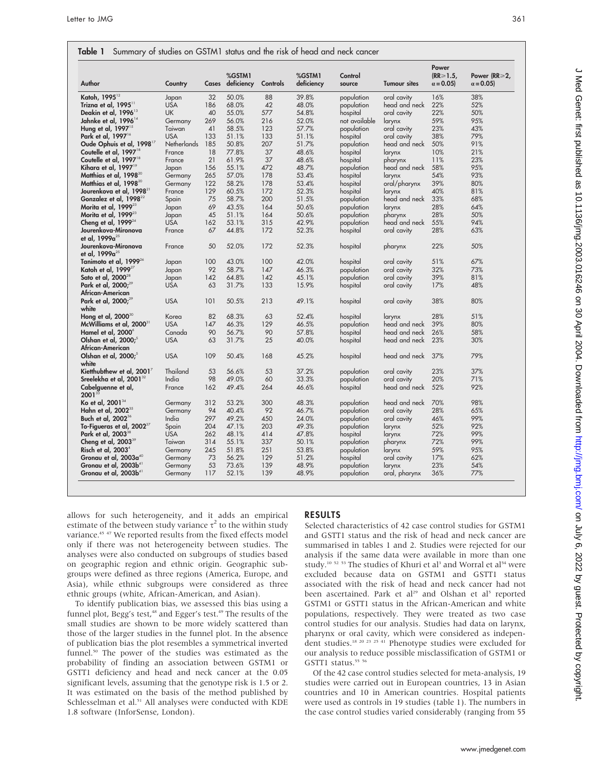| Author                                    | Country            | Cases | %GSTM1<br>deficiency | Controls | %GSTM1<br>deficiency | Control<br>source | <b>Tumour sites</b> | Power<br>$(RR \ge 1.5)$<br>$\alpha = 0.05$ | Power (RR≥2,<br>$\alpha = 0.05$ |
|-------------------------------------------|--------------------|-------|----------------------|----------|----------------------|-------------------|---------------------|--------------------------------------------|---------------------------------|
| Katoh, 1995 <sup>12</sup>                 | Japan              | 32    | 50.0%                | 88       | 39.8%                | population        | oral cavity         | 16%                                        | 38%                             |
| Trizna et al, 1995 <sup>11</sup>          | <b>USA</b>         | 186   | 68.0%                | 42       | 48.0%                | population        | head and neck       | 22%                                        | 52%                             |
| Deakin et al, 1996 <sup>13</sup>          | <b>UK</b>          | 40    | 55.0%                | 577      | 54.8%                | hospital          | oral cavity         | 22%                                        | 50%                             |
| Jahnke et al, 1996 <sup>14</sup>          | Germany            | 269   | 56.0%                | 216      | 52.0%                | not available     | larynx              | 59%                                        | 95%                             |
| Hung et al, $1997^{15}$                   | Taiwan             | 41    | 58.5%                | 123      | 57.7%                | population        | oral cavity         | 23%                                        | 43%                             |
| Park et al, 1997 <sup>16</sup>            | <b>USA</b>         | 133   | 51.1%                | 133      | 51.1%                | hospital          | oral cavity         | 38%                                        | 79%                             |
| Oude Ophuis et al, 1998 <sup>17</sup>     | <b>Netherlands</b> | 185   | 50.8%                | 207      | 51.7%                | population        | head and neck       | 50%                                        | 91%                             |
| Coutelle et al, 1997 <sup>18</sup>        | France             | 18    | 77.8%                | 37       | 48.6%                | hospital          | larynx              | 10%                                        | 21%                             |
| Coutelle et al, 1997 <sup>18</sup>        | France             | 21    | 61.9%                | 37       | 48.6%                | hospital          | pharynx             | 11%                                        | 23%                             |
| Kihara et al, 1997 <sup>19</sup>          | Japan              | 156   | 55.1%                | 472      | 48.7%                | population        | head and neck       | 58%                                        | 95%                             |
| Matthias et al, $1998^{20}$               | Germany            | 265   | 57.0%                | 178      | 53.4%                | hospital          | larynx              | 54%                                        | 93%                             |
| Matthias et al, 1998 <sup>20</sup>        | Germany            | 122   | 58.2%                | 178      | 53.4%                | hospital          | oral/pharynx        | 39%                                        | 80%                             |
| Jourenkova et al, 1998 <sup>21</sup>      | France             | 129   | 60.5%                | 172      | 52.3%                | hospital          | larynx              | 40%                                        | 81%                             |
| Gonzalez et al, 1998 <sup>22</sup>        | Spain              | 75    | 58.7%                | 200      | 51.5%                | population        | head and neck       | 33%                                        | 68%                             |
| Morita et al, $1999^{23}$                 | Japan              | 69    | 43.5%                | 164      | 50.6%                | population        | larynx              | 28%                                        | 64%                             |
| Morita et al, 1999 <sup>23</sup>          | Japan              | 45    | 51.1%                | 164      | 50.6%                | population        | pharynx             | 28%                                        | 50%                             |
| Cheng et al, $1999^{24}$                  | <b>USA</b>         | 162   | 53.1%                | 315      | 42.9%                | population        | head and neck       | 55%                                        | 94%                             |
| Jourenkova-Mironova                       | France             | 67    | 44.8%                | 172      | 52.3%                | hospital          | oral cavity         | 28%                                        | 63%                             |
| et al, 1999a <sup>25</sup>                |                    |       |                      |          |                      |                   |                     |                                            |                                 |
| Jourenkova-Mironova                       | France             | 50    | 52.0%                | 172      | 52.3%                | hospital          | pharynx             | 22%                                        | 50%                             |
| et al, 1999a <sup>25</sup>                |                    |       |                      |          |                      |                   |                     |                                            |                                 |
| Tanimoto et al, 1999 <sup>26</sup>        | Japan              | 100   | 43.0%                | 100      | 42.0%                | hospital          | oral cavity         | 51%                                        | 67%                             |
| Katoh et al, 1999 <sup>27</sup>           | Japan              | 92    | 58.7%                | 147      | 46.3%                | population        | oral cavity         | 32%                                        | 73%                             |
| Sato et al, 2000 <sup>28</sup>            | Japan              | 142   | 64.8%                | 142      | 45.1%                | population        | oral cavity         | 39%                                        | 81%                             |
| Park et al, 2000; <sup>29</sup>           | <b>USA</b>         | 63    | 31.7%                | 133      | 15.9%                | hospital          | oral cavity         | 17%                                        | 48%                             |
| African-American                          |                    |       |                      |          |                      |                   |                     |                                            |                                 |
| Park et al, $2000;^{29}$                  | <b>USA</b>         | 101   | 50.5%                | 213      | 49.1%                | hospital          | oral cavity         | 38%                                        | 80%                             |
| white                                     |                    |       |                      |          |                      |                   |                     |                                            |                                 |
| Hong et al, 2000 <sup>30</sup>            | Korea              | 82    | 68.3%                | 63       | 52.4%                | hospital          | larynx              | 28%                                        | 51%                             |
| McWilliams et al, 2000 <sup>31</sup>      | <b>USA</b>         | 147   | 46.3%                | 129      | 46.5%                | population        | head and neck       | 39%                                        | 80%                             |
| Hamel et al, 2000°                        | Canada             | 90    | 56.7%                | 90       | 57.8%                | hospital          | head and neck       | 26%                                        | 58%                             |
| Olshan et al, 2000;                       | <b>USA</b>         | 63    | 31.7%                | 25       | 40.0%                | hospital          | head and neck       | 23%                                        | 30%                             |
| African-American                          |                    |       |                      |          |                      |                   |                     |                                            |                                 |
| Olshan et al, 2000;<br>white              | <b>USA</b>         | 109   | 50.4%                | 168      | 45.2%                | hospital          | head and neck       | 37%                                        | 79%                             |
|                                           | Thailand           | 53    | 56.6%                | 53       | 37.2%                |                   |                     | 23%                                        | 37%                             |
| Kietthubthew et al, 2001 <sup>7</sup>     | India              | 98    |                      | 60       | 33.3%                | population        | oral cavity         | 20%                                        |                                 |
| Sreelekha et al, 2001 <sup>32</sup>       |                    |       | 49.0%                |          |                      | population        | oral cavity         |                                            | 71%                             |
| Cabelguenne et al,<br>$2001^{33}$         | France             | 162   | 49.4%                | 264      | 46.6%                | hospital          | head and neck       | 52%                                        | 92%                             |
| Ko et al, 2001 $^{\scriptscriptstyle 34}$ | Germany            | 312   | 53.2%                | 300      | 48.3%                | population        | head and neck       | 70%                                        | 98%                             |
| Hahn et al, 2002 <sup>35</sup>            | Germany            | 94    | 40.4%                | 92       | 46.7%                | population        | oral cavity         | 28%                                        | 65%                             |
| Buch et al, 2002 <sup>36</sup>            | India              | 297   | 49.2%                | 450      | 24.0%                | population        | oral cavity         | 46%                                        | 99%                             |
| To-Figueras et al, $2002^{37}$            | Spain              | 204   | 47.1%                | 203      | 49.3%                | population        | larynx              | 52%                                        | 92%                             |
| Park et al, 2003 <sup>38</sup>            | <b>USA</b>         | 262   | 48.1%                | 414      | 47.8%                | hospital          | larynx              | 72%                                        | 99%                             |
| Cheng et al, 2003 <sup>39</sup>           | Taiwan             | 314   | 55.1%                | 337      | 50.1%                | population        | pharynx             | 72%                                        | 99%                             |
| Risch et al, $2003^4$                     | Germany            | 245   | 51.8%                | 251      | 53.8%                | population        | larynx              | 59%                                        | 95%                             |
| Gronau et al, 2003a <sup>40</sup>         | Germany            | 73    | 56.2%                | 129      | 51.2%                | hospital          | oral cavity         | 17%                                        | 62%                             |
| Gronau et al, 2003b <sup>41</sup>         |                    | 53    | 73.6%                | 139      | 48.9%                | population        |                     | 23%                                        | 54%                             |
|                                           | Germany            |       |                      | 139      | 48.9%                |                   | larynx              |                                            |                                 |
| Gronau et al, 2003b <sup>41</sup>         | Germany            | 117   | 52.1%                |          |                      | population        | oral, pharynx       | 36%                                        | 77%                             |

 $\mathsf{Table 1}$  Summary of studies on GSTM1 status and the risk of head.

allows for such heterogeneity, and it adds an empirical estimate of the between study variance  $\tau^2$  to the within study variance.<sup>45 47</sup> We reported results from the fixed effects model only if there was not heterogeneity between studies. The analyses were also conducted on subgroups of studies based on geographic region and ethnic origin. Geographic subgroups were defined as three regions (America, Europe, and Asia), while ethnic subgroups were considered as three ethnic groups (white, African-American, and Asian).

To identify publication bias, we assessed this bias using a funnel plot, Begg's test,<sup>48</sup> and Egger's test.<sup>49</sup> The results of the small studies are shown to be more widely scattered than those of the larger studies in the funnel plot. In the absence of publication bias the plot resembles a symmetrical inverted funnel.<sup>50</sup> The power of the studies was estimated as the probability of finding an association between GSTM1 or GSTT1 deficiency and head and neck cancer at the 0.05 significant levels, assuming that the genotype risk is 1.5 or 2. It was estimated on the basis of the method published by Schlesselman et al.<sup>51</sup> All analyses were conducted with KDE 1.8 software (InforSense, London).

## RESULTS

Selected characteristics of 42 case control studies for GSTM1 and GSTT1 status and the risk of head and neck cancer are summarised in tables 1 and 2. Studies were rejected for our analysis if the same data were available in more than one study.<sup>10 52 53</sup> The studies of Khuri et al<sup>3</sup> and Worral et al<sup>54</sup> were excluded because data on GSTM1 and GSTT1 status associated with the risk of head and neck cancer had not been ascertained. Park et al<sup>29</sup> and Olshan et al<sup>5</sup> reported GSTM1 or GSTT1 status in the African-American and white populations, respectively. They were treated as two case control studies for our analysis. Studies had data on larynx, pharynx or oral cavity, which were considered as independent studies.18 20 23 25 41 Phenotype studies were excluded for our analysis to reduce possible misclassification of GSTM1 or GSTT1 status.<sup>55 56</sup>

Of the 42 case control studies selected for meta-analysis, 19 studies were carried out in European countries, 13 in Asian countries and 10 in American countries. Hospital patients were used as controls in 19 studies (table 1). The numbers in the case control studies varied considerably (ranging from 55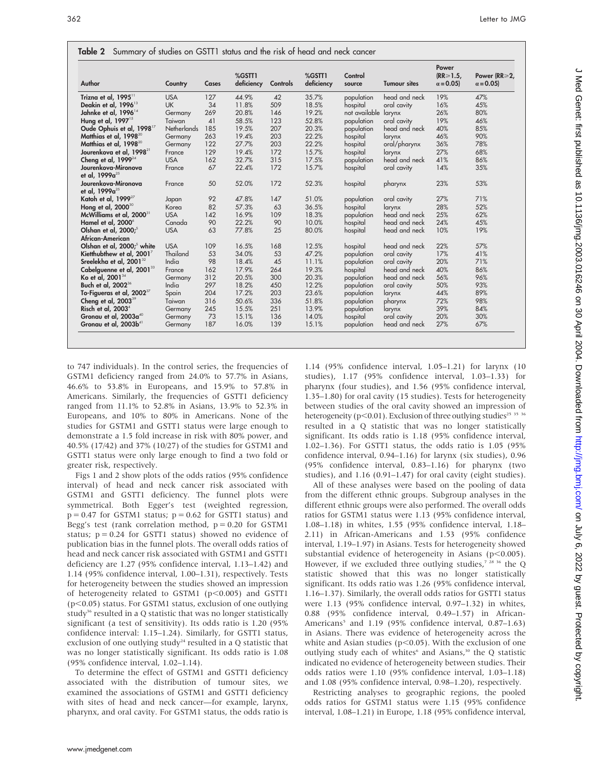| Author                                 | Country            | Cases | %GSTT1<br>deficiency | Controls | %GSTT1<br>deficiency | Control<br>source    | <b>Tumour sites</b> | Power<br>$(RR \ge 1.5)$<br>$\alpha = 0.05$ | Power (RR≥2,<br>$\alpha = 0.05$ |
|----------------------------------------|--------------------|-------|----------------------|----------|----------------------|----------------------|---------------------|--------------------------------------------|---------------------------------|
| Trizna et al, 1995 <sup>11</sup>       | <b>USA</b>         | 127   | 44.9%                | 42       | 35.7%                | population           | head and neck       | 19%                                        | 47%                             |
| Deakin et al, 1996 <sup>13</sup>       | <b>UK</b>          | 34    | 11.8%                | 509      | 18.5%                | hospital             | oral cavity         | 16%                                        | 45%                             |
| Jahnke et al, 1996 <sup>14</sup>       | Germany            | 269   | 20.8%                | 146      | 19.2%                | not available larynx |                     | 26%                                        | 80%                             |
| Hung et al, 1997 <sup>15</sup>         | Taiwan             | 41    | 58.5%                | 123      | 52.8%                | population           | oral cavity         | 19%                                        | 46%                             |
| Oude Ophuis et al, 1998 <sup>17</sup>  | <b>Netherlands</b> | 185   | 19.5%                | 207      | 20.3%                | population           | head and neck       | 40%                                        | 85%                             |
| Matthias et al, 1998 <sup>20</sup>     | Germany            | 263   | 19.4%                | 203      | 22.2%                | hospital             | larynx              | 46%                                        | 90%                             |
| Matthias et al, 1998 <sup>20</sup>     | Germany            | 122   | 27.7%                | 203      | 22.2%                | hospital             | oral/pharynx        | 36%                                        | 78%                             |
| Jourenkova et al, 1998 <sup>21</sup>   | France             | 129   | 19.4%                | 172      | 15.7%                | hospital             | larynx              | 27%                                        | 68%                             |
| Cheng et al, $1999^{24}$               | <b>USA</b>         | 162   | 32.7%                | 315      | 17.5%                | population           | head and neck       | 41%                                        | 86%                             |
| Jourenkova-Mironova                    | France             | 67    | 22.4%                | 172      | 15.7%                | hospital             | oral cavity         | 14%                                        | 35%                             |
| et al. 1999a <sup>25</sup>             |                    |       |                      |          |                      |                      |                     |                                            |                                 |
| Jourenkova-Mironova                    | France             | 50    | 52.0%                | 172      | 52.3%                | hospital             | pharynx             | 23%                                        | 53%                             |
| et al. 1999a <sup>25</sup>             |                    |       |                      |          |                      |                      |                     |                                            |                                 |
| Katoh et al, 1999 <sup>27</sup>        | Japan              | 92    | 47.8%                | 147      | 51.0%                | population           | oral cavity         | 27%                                        | 71%                             |
| Hong et al, $2000^{30}$                | Korea              | 82    | 57.3%                | 63       | 36.5%                | hospital             | larynx              | 28%                                        | 52%                             |
| McWilliams et al, 2000 <sup>31</sup>   | <b>USA</b>         | 142   | 16.9%                | 109      | 18.3%                | population           | head and neck       | 25%                                        | 62%                             |
| Hamel et al, 2000°                     | Canada             | 90    | 22.2%                | 90       | 10.0%                | hospital             | head and neck       | 24%                                        | 45%                             |
| Olshan et al, 2000; <sup>5</sup>       | <b>USA</b>         | 63    | 77.8%                | 25       | 80.0%                | hospital             | head and neck       | 10%                                        | 19%                             |
| African-American                       |                    |       |                      |          |                      |                      |                     |                                            |                                 |
| Olshan et al, 2000; <sup>5</sup> white | <b>USA</b>         | 109   | 16.5%                | 168      | 12.5%                | hospital             | head and neck       | 22%                                        | 57%                             |
| Kietthubthew et al, $2001^7$           | Thailand           | 53    | 34.0%                | 53       | 47.2%                | population           | oral cavity         | 17%                                        | 41%                             |
| Sreelekha et al, 2001 <sup>32</sup>    | India              | 98    | 18.4%                | 45       | 11.1%                | population           | oral cavity         | 20%                                        | 71%                             |
| Cabelguenne et al, 2001 <sup>33</sup>  | France             | 162   | 17.9%                | 264      | 19.3%                | hospital             | head and neck       | 40%                                        | 86%                             |
| Ko et al. $2001^{34}$                  | Germany            | 312   | 20.5%                | 300      | 20.3%                | population           | head and neck       | 56%                                        | 96%                             |
| Buch et al, 2002 <sup>36</sup>         | India              | 297   | 18.2%                | 450      | 12.2%                | population           | oral cavity         | 50%                                        | 93%                             |
| To-Figueras et al, $2002^{37}$         | Spain              | 204   | 17.2%                | 203      | 23.6%                | population           | larynx              | 44%                                        | 89%                             |
| Cheng et al, $2003^{39}$               | Taiwan             | 316   | 50.6%                | 336      | 51.8%                | population           | pharynx             | 72%                                        | 98%                             |
| Risch et al, 2003 <sup>4</sup>         | Germany            | 245   | 15.5%                | 251      | 13.9%                | population           | larynx              | 39%                                        | 84%                             |
| Gronau et al, 2003a <sup>40</sup>      | Germany            | 73    | 15.1%                | 136      | 14.0%                | hospital             | oral cavity         | 20%                                        | 30%                             |
| Gronau et al, 2003b <sup>41</sup>      | Germany            | 187   | 16.0%                | 139      | 15.1%                | population           | head and neck       | 27%                                        | 67%                             |

 $T<sub>0</sub>$  Summary of studies on  $C<sub>0</sub>$  status and the risk of head and neck

to 747 individuals). In the control series, the frequencies of GSTM1 deficiency ranged from 24.0% to 57.7% in Asians, 46.6% to 53.8% in Europeans, and 15.9% to 57.8% in Americans. Similarly, the frequencies of GSTT1 deficiency ranged from 11.1% to 52.8% in Asians, 13.9% to 52.3% in Europeans, and 10% to 80% in Americans. None of the studies for GSTM1 and GSTT1 status were large enough to demonstrate a 1.5 fold increase in risk with 80% power, and 40.5% (17/42) and 37% (10/27) of the studies for GSTM1 and GSTT1 status were only large enough to find a two fold or greater risk, respectively.

Figs 1 and 2 show plots of the odds ratios (95% confidence interval) of head and neck cancer risk associated with GSTM1 and GSTT1 deficiency. The funnel plots were symmetrical. Both Egger's test (weighted regression,  $p = 0.47$  for GSTM1 status;  $p = 0.62$  for GSTT1 status) and Begg's test (rank correlation method,  $p = 0.20$  for GSTM1 status;  $p = 0.24$  for GSTT1 status) showed no evidence of publication bias in the funnel plots. The overall odds ratios of head and neck cancer risk associated with GSTM1 and GSTT1 deficiency are 1.27 (95% confidence interval, 1.13–1.42) and 1.14 (95% confidence interval, 1.00–1.31), respectively. Tests for heterogeneity between the studies showed an impression of heterogeneity related to GSTM1 ( $p$ <0.005) and GSTT1  $(p<0.05)$  status. For GSTM1 status, exclusion of one outlying study<sup>36</sup> resulted in a Q statistic that was no longer statistically significant (a test of sensitivity). Its odds ratio is 1.20 (95% confidence interval: 1.15–1.24). Similarly, for GSTT1 status, exclusion of one outlying study<sup>24</sup> resulted in a  $Q$  statistic that was no longer statistically significant. Its odds ratio is 1.08 (95% confidence interval, 1.02–1.14).

To determine the effect of GSTM1 and GSTT1 deficiency associated with the distribution of tumour sites, we examined the associations of GSTM1 and GSTT1 deficiency with sites of head and neck cancer—for example, larynx, pharynx, and oral cavity. For GSTM1 status, the odds ratio is 1.14 (95% confidence interval, 1.05–1.21) for larynx (10 studies), 1.17 (95% confidence interval, 1.03–1.33) for pharynx (four studies), and 1.56 (95% confidence interval, 1.35–1.80) for oral cavity (15 studies). Tests for heterogeneity between studies of the oral cavity showed an impression of heterogeneity ( $p<0.01$ ). Exclusion of three outlying studies<sup>25</sup> 35 36 resulted in a Q statistic that was no longer statistically significant. Its odds ratio is 1.18 (95% confidence interval, 1.02–1.36). For GSTT1 status, the odds ratio is 1.05 (95% confidence interval, 0.94–1.16) for larynx (six studies), 0.96 (95% confidence interval, 0.83–1.16) for pharynx (two studies), and 1.16 (0.91–1.47) for oral cavity (eight studies).

All of these analyses were based on the pooling of data from the different ethnic groups. Subgroup analyses in the different ethnic groups were also performed. The overall odds ratios for GSTM1 status were 1.13 (95% confidence interval, 1.08–1.18) in whites, 1.55 (95% confidence interval, 1.18– 2.11) in African-Americans and 1.53 (95% confidence interval, 1.19–1.97) in Asians. Tests for heterogeneity showed substantial evidence of heterogeneity in Asians ( $p<0.005$ ). However, if we excluded three outlying studies,<sup>7 28 36</sup> the Q statistic showed that this was no longer statistically significant. Its odds ratio was 1.26 (95% confidence interval, 1.16–1.37). Similarly, the overall odds ratios for GSTT1 status were 1.13 (95% confidence interval, 0.97–1.32) in whites, 0.88 (95% confidence interval, 0.49–1.57) in African-Americans<sup>5</sup> and 1.19 (95% confidence interval, 0.87–1.63) in Asians. There was evidence of heterogeneity across the white and Asian studies ( $p$ <0.05). With the exclusion of one outlying study each of whites<sup>6</sup> and Asians,<sup>30</sup> the Q statistic indicated no evidence of heterogeneity between studies. Their odds ratios were 1.10 (95% confidence interval, 1.03–1.18) and 1.08 (95% confidence interval, 0.98–1.20), respectively.

Restricting analyses to geographic regions, the pooled odds ratios for GSTM1 status were 1.15 (95% confidence interval, 1.08–1.21) in Europe, 1.18 (95% confidence interval,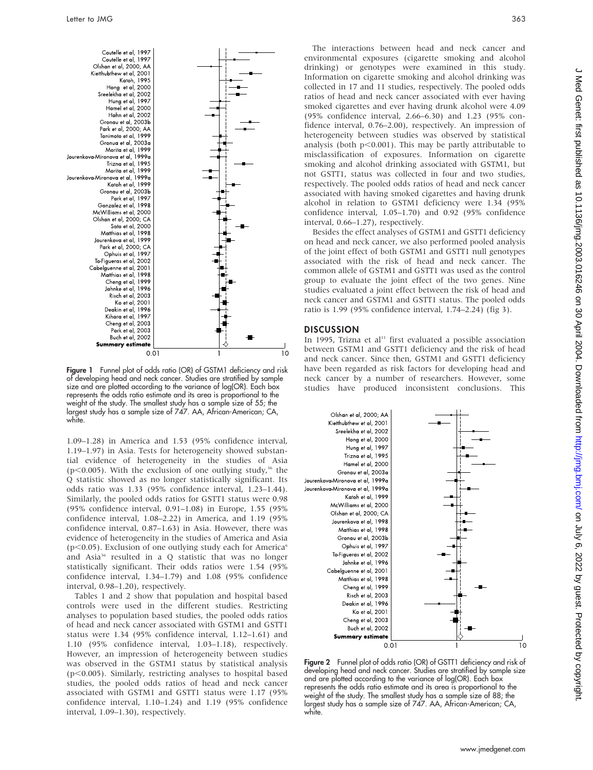

Figure 1 Funnel plot of odds ratio (OR) of GSTM1 deficiency and risk of developing head and neck cancer. Studies are stratified by sample size and are plotted according to the variance of log(OR). Each box represents the odds ratio estimate and its area is proportional to the weight of the study. The smallest study has a sample size of 55; the largest study has a sample size of 747. AA, African-American; CA, white.

1.09–1.28) in America and 1.53 (95% confidence interval, 1.19–1.97) in Asia. Tests for heterogeneity showed substantial evidence of heterogeneity in the studies of Asia ( $p$ <0.005). With the exclusion of one outlying study,<sup>36</sup> the Q statistic showed as no longer statistically significant. Its odds ratio was 1.33 (95% confidence interval, 1.23–1.44). Similarly, the pooled odds ratios for GSTT1 status were 0.98 (95% confidence interval, 0.91–1.08) in Europe, 1.55 (95% confidence interval, 1.08–2.22) in America, and 1.19 (95% confidence interval, 0.87–1.63) in Asia. However, there was evidence of heterogeneity in the studies of America and Asia ( $p$ <0.05). Exclusion of one outlying study each for America<sup>6</sup> and Asia36 resulted in a Q statistic that was no longer statistically significant. Their odds ratios were 1.54 (95% confidence interval, 1.34–1.79) and 1.08 (95% confidence interval, 0.98–1.20), respectively.

Tables 1 and 2 show that population and hospital based controls were used in the different studies. Restricting analyses to population based studies, the pooled odds ratios of head and neck cancer associated with GSTM1 and GSTT1 status were 1.34 (95% confidence interval, 1.12–1.61) and 1.10 (95% confidence interval, 1.03–1.18), respectively. However, an impression of heterogeneity between studies was observed in the GSTM1 status by statistical analysis ( $p$ <0.005). Similarly, restricting analyses to hospital based studies, the pooled odds ratios of head and neck cancer associated with GSTM1 and GSTT1 status were 1.17 (95% confidence interval, 1.10–1.24) and 1.19 (95% confidence interval, 1.09–1.30), respectively.

The interactions between head and neck cancer and environmental exposures (cigarette smoking and alcohol drinking) or genotypes were examined in this study. Information on cigarette smoking and alcohol drinking was collected in 17 and 11 studies, respectively. The pooled odds ratios of head and neck cancer associated with ever having smoked cigarettes and ever having drunk alcohol were 4.09 (95% confidence interval, 2.66–6.30) and 1.23 (95% confidence interval, 0.76–2.00), respectively. An impression of heterogeneity between studies was observed by statistical analysis (both  $p<0.001$ ). This may be partly attributable to misclassification of exposures. Information on cigarette smoking and alcohol drinking associated with GSTM1, but not GSTT1, status was collected in four and two studies, respectively. The pooled odds ratios of head and neck cancer associated with having smoked cigarettes and having drunk alcohol in relation to GSTM1 deficiency were 1.34 (95% confidence interval, 1.05–1.70) and 0.92 (95% confidence interval, 0.66–1.27), respectively.

Besides the effect analyses of GSTM1 and GSTT1 deficiency on head and neck cancer, we also performed pooled analysis of the joint effect of both GSTM1 and GSTT1 null genotypes associated with the risk of head and neck cancer. The common allele of GSTM1 and GSTT1 was used as the control group to evaluate the joint effect of the two genes. Nine studies evaluated a joint effect between the risk of head and neck cancer and GSTM1 and GSTT1 status. The pooled odds ratio is 1.99 (95% confidence interval, 1.74–2.24) (fig 3).

#### **DISCUSSION**

In 1995, Trizna et al<sup>11</sup> first evaluated a possible association between GSTM1 and GSTT1 deficiency and the risk of head and neck cancer. Since then, GSTM1 and GSTT1 deficiency have been regarded as risk factors for developing head and neck cancer by a number of researchers. However, some studies have produced inconsistent conclusions. This



**Figure 2** Funnel plot of odds ratio (OR) of GSTT1 deficiency and risk of developing head and neck cancer. Studies are stratified by sample size and are plotted according to the variance of log(OR). Each box represents the odds ratio estimate and its area is proportional to the weight of the study. The smallest study has a sample size of 88; the largest study has a sample size of 747. AA, African-American; CA, white.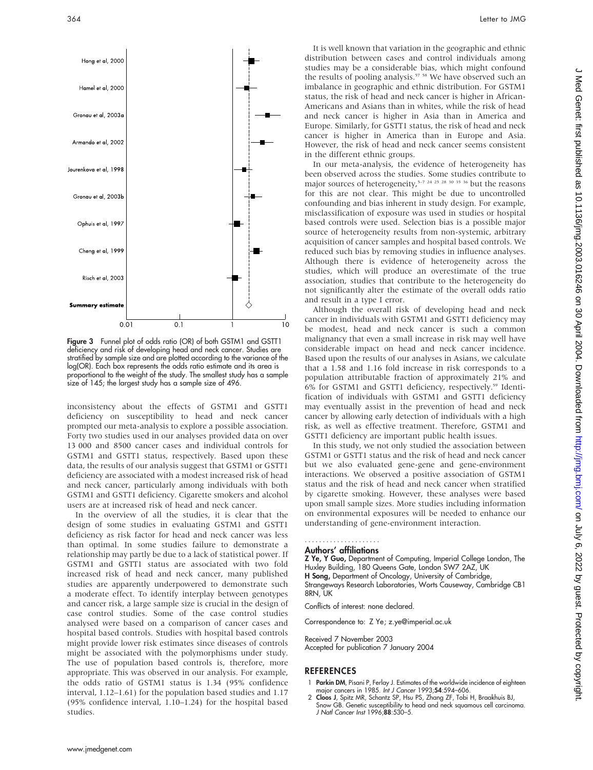

Figure 3 Funnel plot of odds ratio (OR) of both GSTM1 and GSTT1 deficiency and risk of developing head and neck cancer. Studies are stratified by sample size and are plotted according to the variance of the log(OR). Each box represents the odds ratio estimate and its area is proportional to the weight of the study. The smallest study has a sample size of 145; the largest study has a sample size of 496.

inconsistency about the effects of GSTM1 and GSTT1 deficiency on susceptibility to head and neck cancer prompted our meta-analysis to explore a possible association. Forty two studies used in our analyses provided data on over 13 000 and 8500 cancer cases and individual controls for GSTM1 and GSTT1 status, respectively. Based upon these data, the results of our analysis suggest that GSTM1 or GSTT1 deficiency are associated with a modest increased risk of head and neck cancer, particularly among individuals with both GSTM1 and GSTT1 deficiency. Cigarette smokers and alcohol users are at increased risk of head and neck cancer.

In the overview of all the studies, it is clear that the design of some studies in evaluating GSTM1 and GSTT1 deficiency as risk factor for head and neck cancer was less than optimal. In some studies failure to demonstrate a relationship may partly be due to a lack of statistical power. If GSTM1 and GSTT1 status are associated with two fold increased risk of head and neck cancer, many published studies are apparently underpowered to demonstrate such a moderate effect. To identify interplay between genotypes and cancer risk, a large sample size is crucial in the design of case control studies. Some of the case control studies analysed were based on a comparison of cancer cases and hospital based controls. Studies with hospital based controls might provide lower risk estimates since diseases of controls might be associated with the polymorphisms under study. The use of population based controls is, therefore, more appropriate. This was observed in our analysis. For example, the odds ratio of GSTM1 status is 1.34 (95% confidence interval, 1.12–1.61) for the population based studies and 1.17 (95% confidence interval, 1.10–1.24) for the hospital based studies.

It is well known that variation in the geographic and ethnic distribution between cases and control individuals among studies may be a considerable bias, which might confound the results of pooling analysis.<sup>57</sup> <sup>58</sup> We have observed such an imbalance in geographic and ethnic distribution. For GSTM1 status, the risk of head and neck cancer is higher in African-Americans and Asians than in whites, while the risk of head and neck cancer is higher in Asia than in America and Europe. Similarly, for GSTT1 status, the risk of head and neck cancer is higher in America than in Europe and Asia. However, the risk of head and neck cancer seems consistent in the different ethnic groups.

In our meta-analysis, the evidence of heterogeneity has been observed across the studies. Some studies contribute to major sources of heterogeneity,<sup> $5-7$  24 25 28 30 35 36</sup> but the reasons for this are not clear. This might be due to uncontrolled confounding and bias inherent in study design. For example, misclassification of exposure was used in studies or hospital based controls were used. Selection bias is a possible major source of heterogeneity results from non-systemic, arbitrary acquisition of cancer samples and hospital based controls. We reduced such bias by removing studies in influence analyses. Although there is evidence of heterogeneity across the studies, which will produce an overestimate of the true association, studies that contribute to the heterogeneity do not significantly alter the estimate of the overall odds ratio and result in a type I error.

Although the overall risk of developing head and neck cancer in individuals with GSTM1 and GSTT1 deficiency may be modest, head and neck cancer is such a common malignancy that even a small increase in risk may well have considerable impact on head and neck cancer incidence. Based upon the results of our analyses in Asians, we calculate that a 1.58 and 1.16 fold increase in risk corresponds to a population attributable fraction of approximately 21% and 6% for GSTM1 and GSTT1 deficiency, respectively.59 Identification of individuals with GSTM1 and GSTT1 deficiency may eventually assist in the prevention of head and neck cancer by allowing early detection of individuals with a high risk, as well as effective treatment. Therefore, GSTM1 and GSTT1 deficiency are important public health issues.

In this study, we not only studied the association between GSTM1 or GSTT1 status and the risk of head and neck cancer but we also evaluated gene-gene and gene-environment interactions. We observed a positive association of GSTM1 status and the risk of head and neck cancer when stratified by cigarette smoking. However, these analyses were based upon small sample sizes. More studies including information on environmental exposures will be needed to enhance our understanding of gene-environment interaction.

#### Authors' affiliations .....................

Z Ye, Y Guo, Department of Computing, Imperial College London, The Huxley Building, 180 Queens Gate, London SW7 2AZ, UK H Song, Department of Oncology, University of Cambridge, Strangeways Research Laboratories, Worts Causeway, Cambridge CB1 8RN IK

Conflicts of interest: none declared.

Correspondence to: Z Ye; z.ye@imperial.ac.uk

Received 7 November 2003 Accepted for publication 7 January 2004

#### REFERENCES

- 1 Parkin DM, Pisani P, Ferlay J. Estimates of the worldwide incidence of eighteen major cancers in 1985. Int J Cancer 1993;54:594–606.
- 2 Cloos J, Spitz MR, Schantz SP, Hsu PS, Zhang ZF, Tobi H, Braakhuis BJ, Snow GB. Genetic susceptibility to head and neck squamous cell carcinoma. J Natl Cancer Inst 1996;88:530–5.